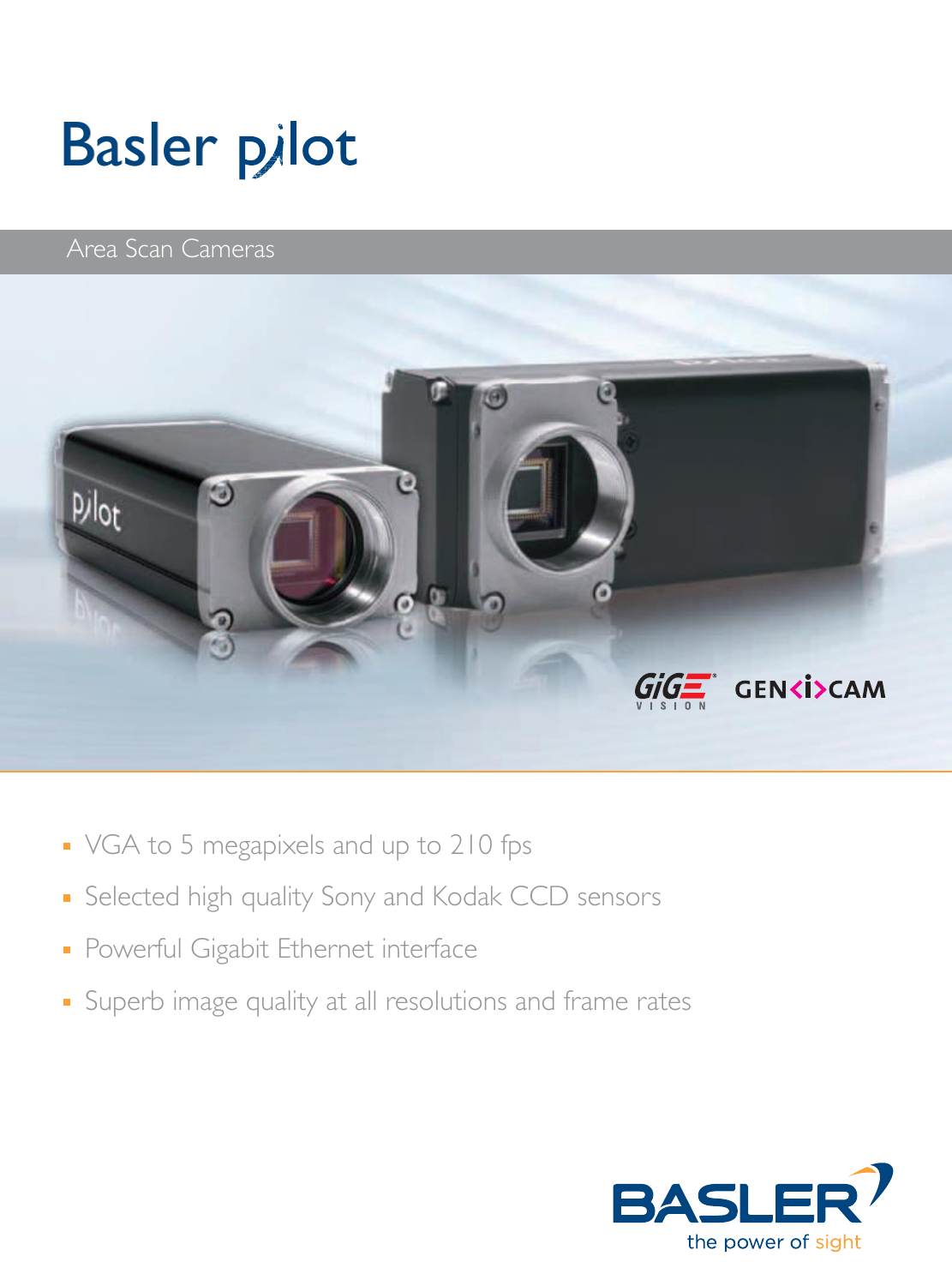# Basler Basler

### Area Scan Cameras



- VGA to 5 megapixels and up to 210 fps
- **Selected high quality Sony and Kodak CCD sensors**
- **Powerful Gigabit Ethernet interface**
- **Superb image quality at all resolutions and frame rates**

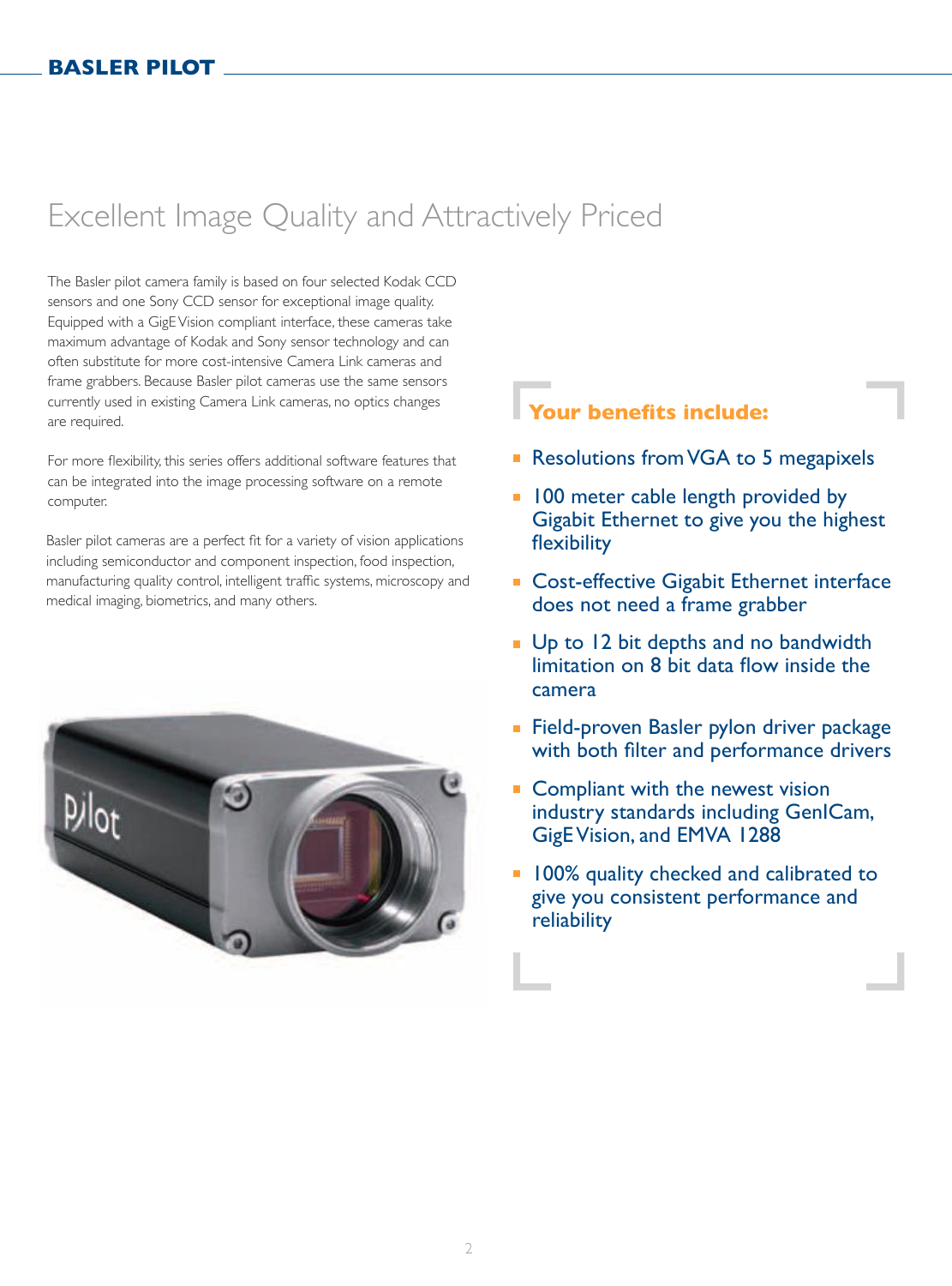### Excellent Image Quality and Attractively Priced

The Basler pilot camera family is based on four selected Kodak CCD sensors and one Sony CCD sensor for exceptional image quality. Equipped with a GigE Vision compliant interface, these cameras take maximum advantage of Kodak and Sony sensor technology and can often substitute for more cost-intensive Camera Link cameras and frame grabbers. Because Basler pilot cameras use the same sensors currently used in existing Camera Link cameras, no optics changes are required.

For more flexibility, this series offers additional software features that can be integrated into the image processing software on a remote computer.

Basler pilot cameras are a perfect fit for a variety of vision applications including semiconductor and component inspection, food inspection, manufacturing quality control, intelligent traffic systems, microscopy and medical imaging, biometrics, and many others.



### **Your benefits include:**

- Resolutions from VGA to 5 megapixels
- **100 meter cable length provided by** Gigabit Ethernet to give you the highest flexibility
- **Cost-effective Gigabit Ethernet interface** does not need a frame grabber
- **Up to 12 bit depths and no bandwidth** limitation on 8 bit data flow inside the camera
- **Field-proven Basler pylon driver package** with both filter and performance drivers
- Compliant with the newest vision industry standards including GenICam, GigE Vision, and EMVA 1288
- **100% quality checked and calibrated to** give you consistent performance and reliability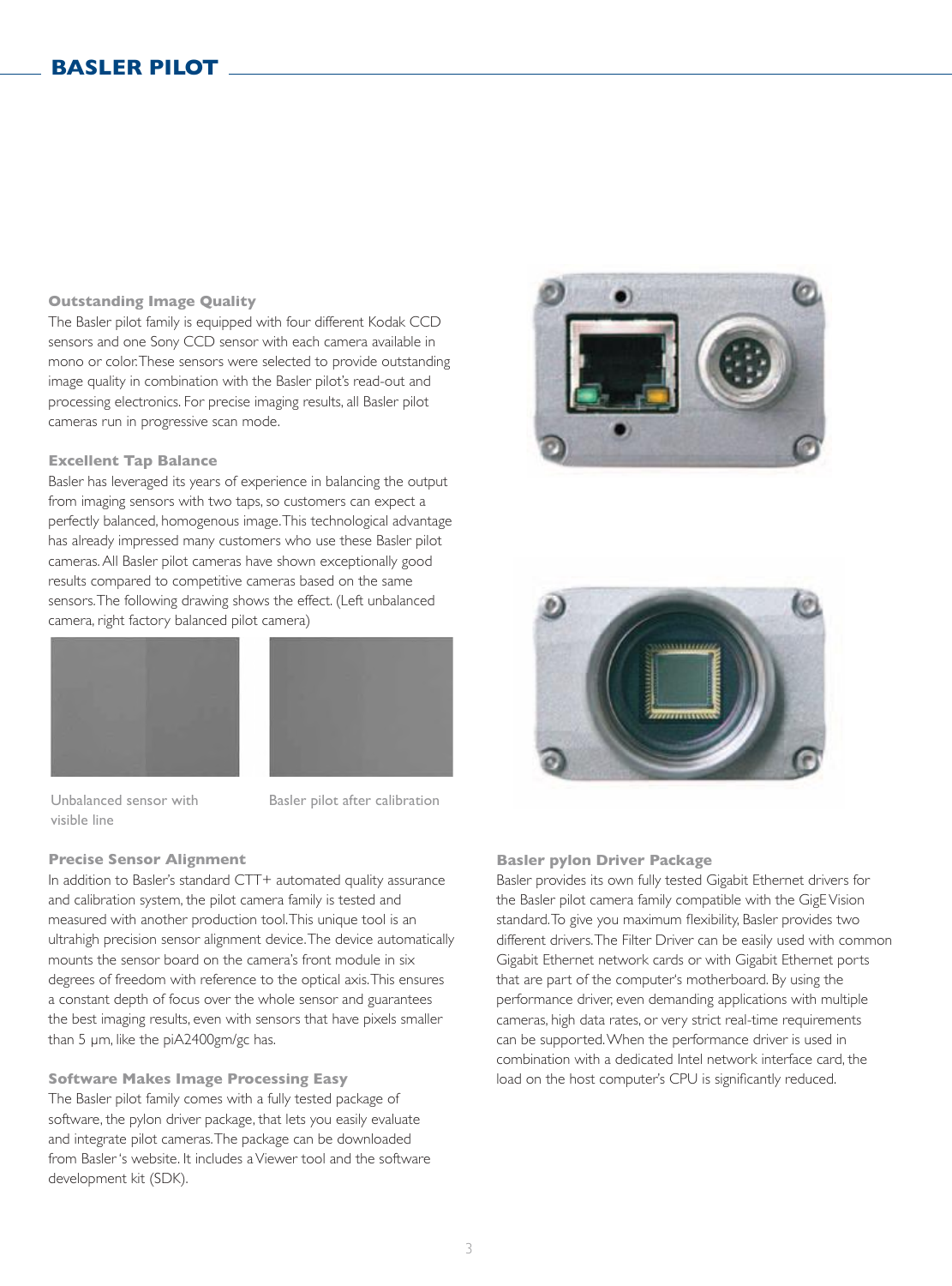#### **Outstanding Image Quality**

The Basler pilot family is equipped with four different Kodak CCD sensors and one Sony CCD sensor with each camera available in mono or color. These sensors were selected to provide outstanding image quality in combination with the Basler pilot's read-out and processing electronics. For precise imaging results, all Basler pilot cameras run in progressive scan mode.

#### **Excellent Tap Balance**

Basler has leveraged its years of experience in balancing the output from imaging sensors with two taps, so customers can expect a perfectly balanced, homogenous image. This technological advantage has already impressed many customers who use these Basler pilot cameras. All Basler pilot cameras have shown exceptionally good results compared to competitive cameras based on the same sensors. The following drawing shows the effect. (Left unbalanced camera, right factory balanced pilot camera)





Unbalanced sensor with visible line

Basler pilot after calibration

#### **Precise Sensor Alignment**

In addition to Basler's standard CTT+ automated quality assurance and calibration system, the pilot camera family is tested and measured with another production tool. This unique tool is an ultrahigh precision sensor alignment device. The device automatically mounts the sensor board on the camera's front module in six degrees of freedom with reference to the optical axis. This ensures a constant depth of focus over the whole sensor and guarantees the best imaging results, even with sensors that have pixels smaller than 5 μm, like the piA2400gm/gc has.

**Software Makes Image Processing Easy** The Basler pilot family comes with a fully tested package of software, the pylon driver package, that lets you easily evaluate and integrate pilot cameras. The package can be downloaded from Basler 's website. It includes a Viewer tool and the software development kit (SDK).





#### **Basler pylon Driver Package**

Basler provides its own fully tested Gigabit Ethernet drivers for the Basler pilot camera family compatible with the GigE Vision standard. To give you maximum flexibility, Basler provides two different drivers. The Filter Driver can be easily used with common Gigabit Ethernet network cards or with Gigabit Ethernet ports that are part of the computer's motherboard. By using the performance driver, even demanding applications with multiple cameras, high data rates, or very strict real-time requirements can be supported. When the performance driver is used in combination with a dedicated Intel network interface card, the load on the host computer's CPU is significantly reduced.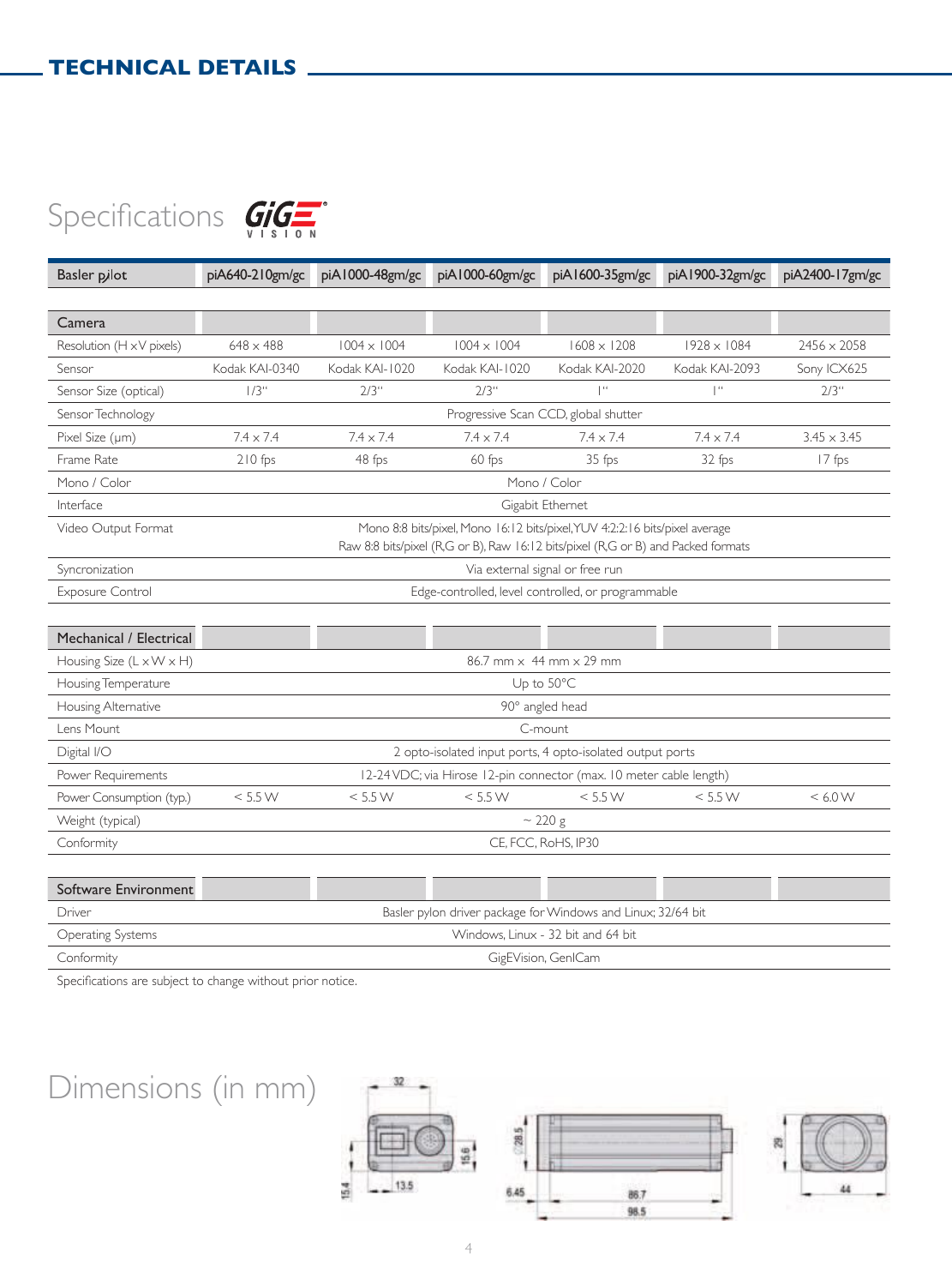



| Software Environment |                                                              |
|----------------------|--------------------------------------------------------------|
| Driver               | Basler pylon driver package for Windows and Linux; 32/64 bit |
| Operating Systems    | Windows, Linux - 32 bit and 64 bit                           |
| Conformity           | GigEVision, GenICam                                          |

Specifications are subject to change without prior notice.

## Dimensions (in mm)

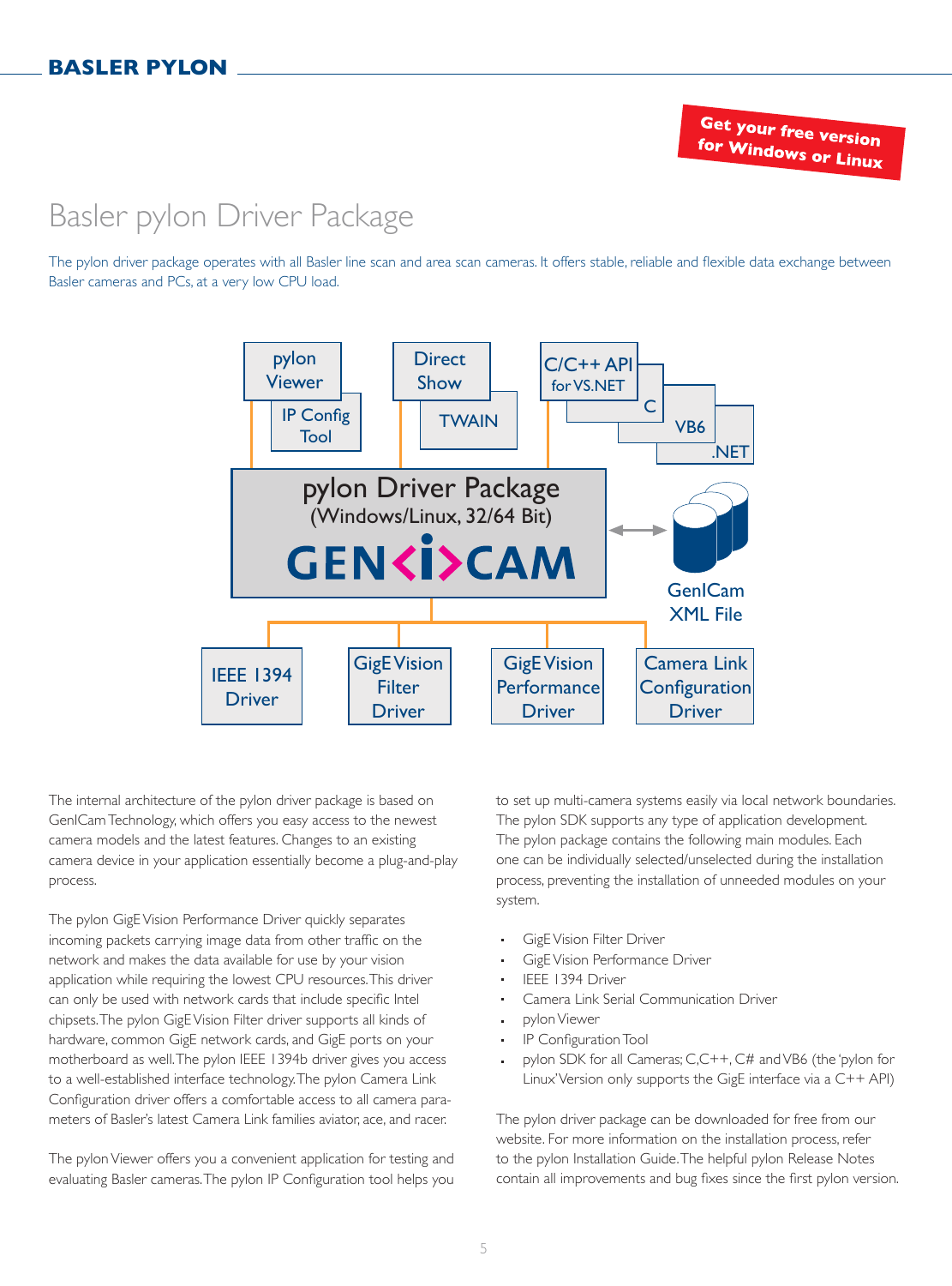### Basler pylon Driver Package

The pylon driver package operates with all Basler line scan and area scan cameras. It offers stable, reliable and flexible data exchange between Basler cameras and PCs, at a very low CPU load.



The internal architecture of the pylon driver package is based on GenICam Technology, which offers you easy access to the newest camera models and the latest features. Changes to an existing camera device in your application essentially become a plug-and-play process.

The pylon GigE Vision Performance Driver quickly separates incoming packets carrying image data from other traffic on the network and makes the data available for use by your vision application while requiring the lowest CPU resources. This driver can only be used with network cards that include specific Intel chipsets. The pylon GigE Vision Filter driver supports all kinds of hardware, common GigE network cards, and GigE ports on your motherboard as well. The pylon IEEE 1394b driver gives you access to a well-established interface technology. The pylon Camera Link Configuration driver offers a comfortable access to all camera parameters of Basler's latest Camera Link families aviator, ace, and racer.

The pylon Viewer offers you a convenient application for testing and evaluating Basler cameras. The pylon IP Configuration tool helps you to set up multi-camera systems easily via local network boundaries. The pylon SDK supports any type of application development. The pylon package contains the following main modules. Each one can be individually selected/unselected during the installation process, preventing the installation of unneeded modules on your system.

- GigE Vision Filter Driver
- GigE Vision Performance Driver
- IEEE 1394 Driver
- Camera Link Serial Communication Driver
- pylon Viewer
- IP Configuration Tool
- pylon SDK for all Cameras; C,C++, C# and VB6 (the 'pylon for Linux' Version only supports the GigE interface via a C++ API)

The pylon driver package can be downloaded for free from our website. For more information on the installation process, refer to the pylon Installation Guide. The helpful pylon Release Notes contain all improvements and bug fixes since the first pylon version.